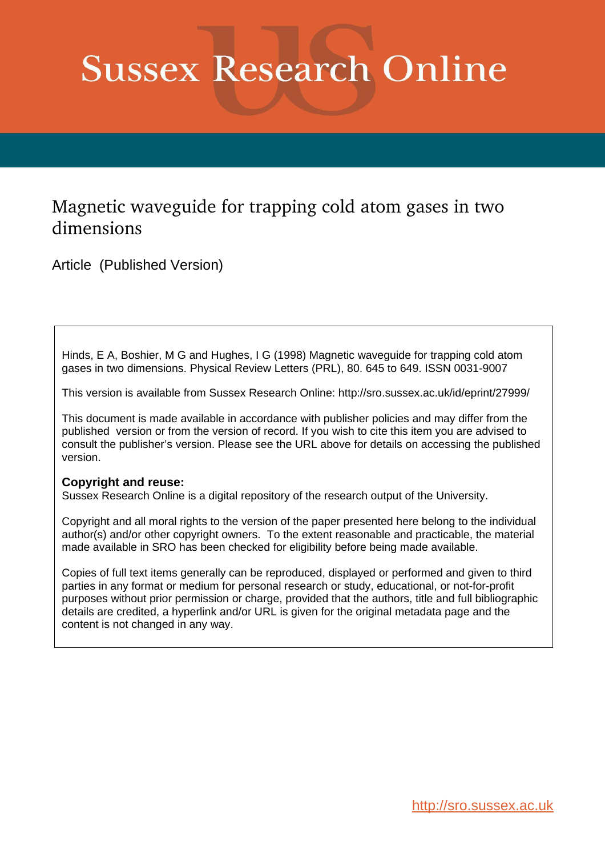# **Sussex Research Online**

### Magnetic waveguide for trapping cold atom gases in two dimensions

Article (Published Version)

Hinds, E A, Boshier, M G and Hughes, I G (1998) Magnetic waveguide for trapping cold atom gases in two dimensions. Physical Review Letters (PRL), 80. 645 to 649. ISSN 0031-9007

This version is available from Sussex Research Online: http://sro.sussex.ac.uk/id/eprint/27999/

This document is made available in accordance with publisher policies and may differ from the published version or from the version of record. If you wish to cite this item you are advised to consult the publisher's version. Please see the URL above for details on accessing the published version.

#### **Copyright and reuse:**

Sussex Research Online is a digital repository of the research output of the University.

Copyright and all moral rights to the version of the paper presented here belong to the individual author(s) and/or other copyright owners. To the extent reasonable and practicable, the material made available in SRO has been checked for eligibility before being made available.

Copies of full text items generally can be reproduced, displayed or performed and given to third parties in any format or medium for personal research or study, educational, or not-for-profit purposes without prior permission or charge, provided that the authors, title and full bibliographic details are credited, a hyperlink and/or URL is given for the original metadata page and the content is not changed in any way.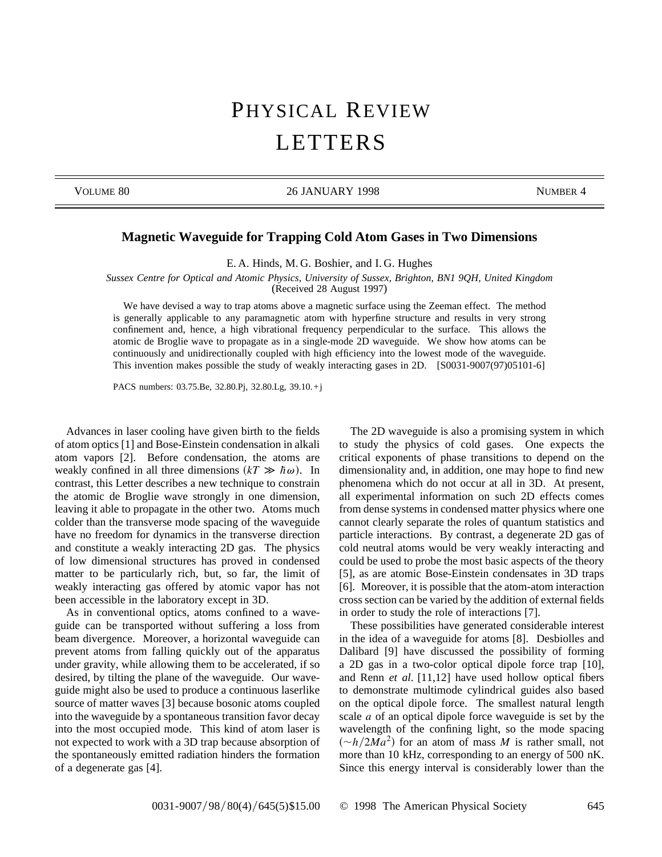## PHYSICAL REVIEW LETTERS

VOLUME 80 26 JANUARY 1998 NUMBER 4

#### **Magnetic Waveguide for Trapping Cold Atom Gases in Two Dimensions**

E. A. Hinds, M. G. Boshier, and I. G. Hughes

*Sussex Centre for Optical and Atomic Physics, University of Sussex, Brighton, BN1 9QH, United Kingdom* (Received 28 August 1997)

We have devised a way to trap atoms above a magnetic surface using the Zeeman effect. The method is generally applicable to any paramagnetic atom with hyperfine structure and results in very strong confinement and, hence, a high vibrational frequency perpendicular to the surface. This allows the atomic de Broglie wave to propagate as in a single-mode 2D waveguide. We show how atoms can be continuously and unidirectionally coupled with high efficiency into the lowest mode of the waveguide. This invention makes possible the study of weakly interacting gases in 2D. [S0031-9007(97)05101-6]

PACS numbers: 03.75.Be, 32.80.Pj, 32.80.Lg, 39.10. +j

Advances in laser cooling have given birth to the fields of atom optics [1] and Bose-Einstein condensation in alkali atom vapors [2]. Before condensation, the atoms are weakly confined in all three dimensions  $(kT \gg \hbar \omega)$ . In contrast, this Letter describes a new technique to constrain the atomic de Broglie wave strongly in one dimension, leaving it able to propagate in the other two. Atoms much colder than the transverse mode spacing of the waveguide have no freedom for dynamics in the transverse direction and constitute a weakly interacting 2D gas. The physics of low dimensional structures has proved in condensed matter to be particularly rich, but, so far, the limit of weakly interacting gas offered by atomic vapor has not been accessible in the laboratory except in 3D.

As in conventional optics, atoms confined to a waveguide can be transported without suffering a loss from beam divergence. Moreover, a horizontal waveguide can prevent atoms from falling quickly out of the apparatus under gravity, while allowing them to be accelerated, if so desired, by tilting the plane of the waveguide. Our waveguide might also be used to produce a continuous laserlike source of matter waves [3] because bosonic atoms coupled into the waveguide by a spontaneous transition favor decay into the most occupied mode. This kind of atom laser is not expected to work with a 3D trap because absorption of the spontaneously emitted radiation hinders the formation of a degenerate gas [4].

The 2D waveguide is also a promising system in which to study the physics of cold gases. One expects the critical exponents of phase transitions to depend on the dimensionality and, in addition, one may hope to find new phenomena which do not occur at all in 3D. At present, all experimental information on such 2D effects comes from dense systems in condensed matter physics where one cannot clearly separate the roles of quantum statistics and particle interactions. By contrast, a degenerate 2D gas of cold neutral atoms would be very weakly interacting and could be used to probe the most basic aspects of the theory [5], as are atomic Bose-Einstein condensates in 3D traps [6]. Moreover, it is possible that the atom-atom interaction cross section can be varied by the addition of external fields in order to study the role of interactions [7].

These possibilities have generated considerable interest in the idea of a waveguide for atoms [8]. Desbiolles and Dalibard [9] have discussed the possibility of forming a 2D gas in a two-color optical dipole force trap [10], and Renn *et al.* [11,12] have used hollow optical fibers to demonstrate multimode cylindrical guides also based on the optical dipole force. The smallest natural length scale *a* of an optical dipole force waveguide is set by the wavelength of the confining light, so the mode spacing  $\left(\frac{\alpha - h}{2Ma^2}\right)$  for an atom of mass *M* is rather small, not more than 10 kHz, corresponding to an energy of 500 nK. Since this energy interval is considerably lower than the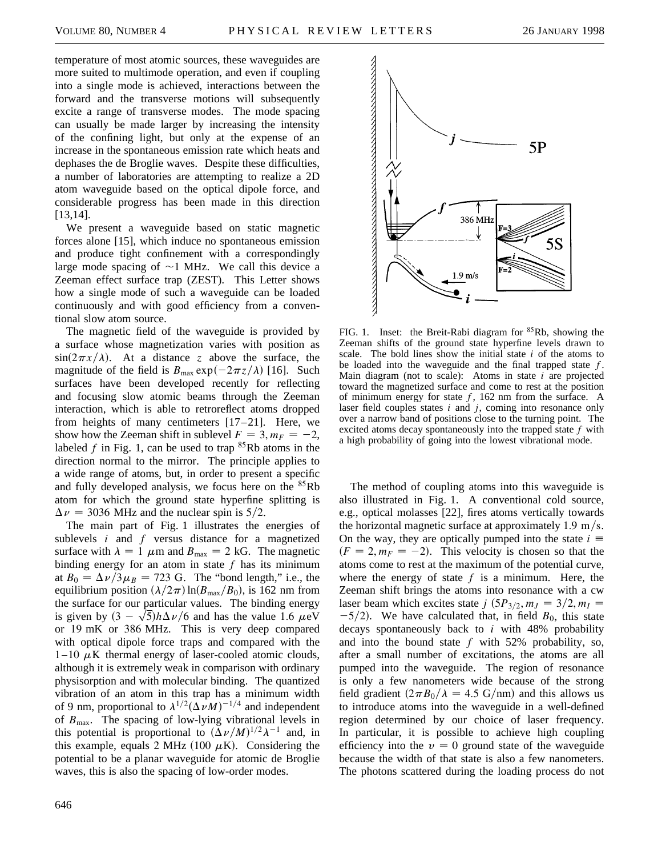temperature of most atomic sources, these waveguides are more suited to multimode operation, and even if coupling into a single mode is achieved, interactions between the forward and the transverse motions will subsequently excite a range of transverse modes. The mode spacing can usually be made larger by increasing the intensity of the confining light, but only at the expense of an increase in the spontaneous emission rate which heats and dephases the de Broglie waves. Despite these difficulties, a number of laboratories are attempting to realize a 2D atom waveguide based on the optical dipole force, and considerable progress has been made in this direction [13,14].

We present a waveguide based on static magnetic forces alone [15], which induce no spontaneous emission and produce tight confinement with a correspondingly large mode spacing of  $\sim$ 1 MHz. We call this device a Zeeman effect surface trap (ZEST). This Letter shows how a single mode of such a waveguide can be loaded continuously and with good efficiency from a conventional slow atom source.

The magnetic field of the waveguide is provided by a surface whose magnetization varies with position as  $\sin(2\pi x/\lambda)$ . At a distance *z* above the surface, the magnitude of the field is  $B_{\text{max}} \exp(-2\pi z/\lambda)$  [16]. Such surfaces have been developed recently for reflecting and focusing slow atomic beams through the Zeeman interaction, which is able to retroreflect atoms dropped from heights of many centimeters [17–21]. Here, we show how the Zeeman shift in sublevel  $F = 3$ ,  $m_F = -2$ , labeled  $f$  in Fig. 1, can be used to trap  ${}^{85}Rb$  atoms in the direction normal to the mirror. The principle applies to a wide range of atoms, but, in order to present a specific and fully developed analysis, we focus here on the <sup>85</sup>Rb atom for which the ground state hyperfine splitting is  $\Delta \nu$  = 3036 MHz and the nuclear spin is 5/2.

The main part of Fig. 1 illustrates the energies of sublevels *i* and *f* versus distance for a magnetized surface with  $\lambda = 1$   $\mu$ m and  $B_{\text{max}} = 2$  kG. The magnetic binding energy for an atom in state *f* has its minimum at  $B_0 = \Delta \nu / 3 \mu_B = 723$  G. The "bond length," i.e., the equilibrium position  $(\lambda/2\pi)$  ln $(B_{\text{max}}/B_0)$ , is 162 nm from the surface for our particular values. The binding energy the surface for our particular values. The binding energy<br>is given by  $(3 - \sqrt{5})h\Delta\nu/6$  and has the value 1.6  $\mu$ eV or 19 mK or 386 MHz. This is very deep compared with optical dipole force traps and compared with the  $1-10 \mu K$  thermal energy of laser-cooled atomic clouds, although it is extremely weak in comparison with ordinary physisorption and with molecular binding. The quantized vibration of an atom in this trap has a minimum width of 9 nm, proportional to  $\lambda^{1/2}(\Delta \nu M)^{-1/4}$  and independent of *B*max. The spacing of low-lying vibrational levels in this potential is proportional to  $(\Delta \nu / M)^{1/2} \lambda^{-1}$  and, in this example, equals 2 MHz (100  $\mu$ K). Considering the potential to be a planar waveguide for atomic de Broglie waves, this is also the spacing of low-order modes.



FIG. 1. Inset: the Breit-Rabi diagram for <sup>85</sup>Rb, showing the Zeeman shifts of the ground state hyperfine levels drawn to scale. The bold lines show the initial state *i* of the atoms to be loaded into the waveguide and the final trapped state *f*. Main diagram (not to scale): Atoms in state *i* are projected toward the magnetized surface and come to rest at the position of minimum energy for state *f*, 162 nm from the surface. A laser field couples states *i* and *j*, coming into resonance only over a narrow band of positions close to the turning point. The excited atoms decay spontaneously into the trapped state *f* with a high probability of going into the lowest vibrational mode.

The method of coupling atoms into this waveguide is also illustrated in Fig. 1. A conventional cold source, e.g., optical molasses [22], fires atoms vertically towards the horizontal magnetic surface at approximately  $1.9 \text{ m/s}$ . On the way, they are optically pumped into the state  $i \equiv$  $(F = 2, m_F = -2)$ . This velocity is chosen so that the atoms come to rest at the maximum of the potential curve, where the energy of state  $f$  is a minimum. Here, the Zeeman shift brings the atoms into resonance with a cw laser beam which excites state *j*  $(5P_{3/2}, m_J = 3/2, m_I = 1)$  $-5/2$ ). We have calculated that, in field  $B_0$ , this state decays spontaneously back to *i* with 48% probability and into the bound state *f* with 52% probability, so, after a small number of excitations, the atoms are all pumped into the waveguide. The region of resonance is only a few nanometers wide because of the strong field gradient  $(2\pi B_0/\lambda = 4.5 \text{ G/mm})$  and this allows us to introduce atoms into the waveguide in a well-defined region determined by our choice of laser frequency. In particular, it is possible to achieve high coupling efficiency into the  $v = 0$  ground state of the waveguide because the width of that state is also a few nanometers. The photons scattered during the loading process do not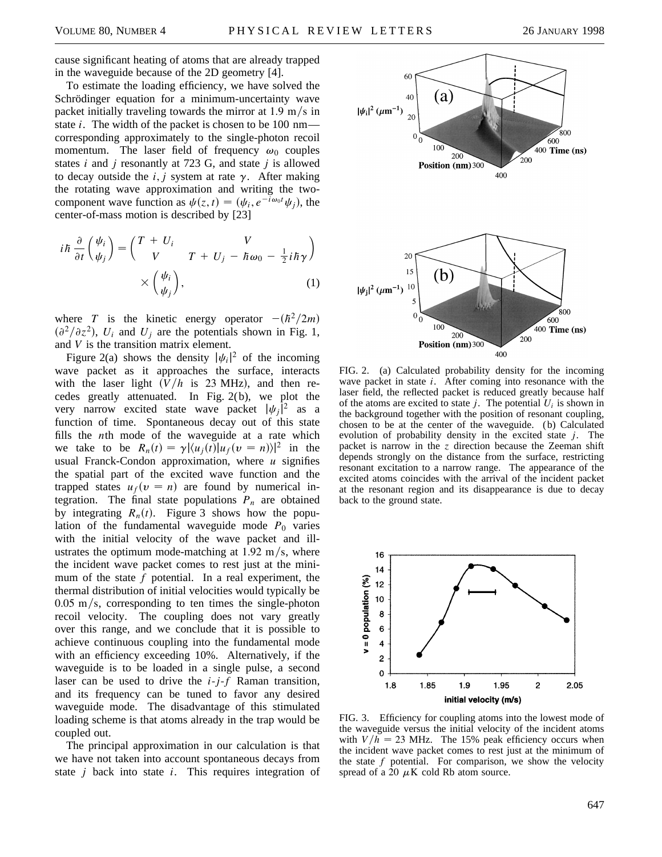cause significant heating of atoms that are already trapped in the waveguide because of the 2D geometry [4].

To estimate the loading efficiency, we have solved the Schrödinger equation for a minimum-uncertainty wave packet initially traveling towards the mirror at  $1.9 \text{ m/s}$  in state *i*. The width of the packet is chosen to be 100 nm corresponding approximately to the single-photon recoil momentum. The laser field of frequency  $\omega_0$  couples states *i* and *j* resonantly at 723 G, and state *j* is allowed to decay outside the  $i$ ,  $j$  system at rate  $\gamma$ . After making the rotating wave approximation and writing the twocomponent wave function as  $\psi(z, t) = (\psi_i, e^{-\overline{i}\omega_0 t}\psi_j)$ , the center-of-mass motion is described by [23]

$$
i\hbar \frac{\partial}{\partial t} \left( \frac{\psi_i}{\psi_j} \right) = \begin{pmatrix} T + U_i & V \\ V & T + U_j - \hbar \omega_0 - \frac{1}{2} i \hbar \gamma \end{pmatrix}
$$

$$
\times \left( \frac{\psi_i}{\psi_j} \right), \tag{1}
$$

where *T* is the kinetic energy operator  $-(\hbar^2/2m)$  $\left(\frac{\partial^2}{\partial z^2}\right)$ , *U<sub>i</sub>* and *U<sub>j</sub>* are the potentials shown in Fig. 1, and *V* is the transition matrix element.

Figure 2(a) shows the density  $|\psi_i|^2$  of the incoming wave packet as it approaches the surface, interacts with the laser light  $(V/h$  is 23 MHz), and then recedes greatly attenuated. In Fig. 2(b), we plot the very narrow excited state wave packet  $|\psi_j|^2$  as a function of time. Spontaneous decay out of this state fills the *n*th mode of the waveguide at a rate which we take to be  $R_n(t) = \gamma |\langle u_j(t) | u_f(v = n) \rangle|^2$  in the usual Franck-Condon approximation, where *u* signifies the spatial part of the excited wave function and the trapped states  $u_f(v = n)$  are found by numerical integration. The final state populations  $P_n$  are obtained by integrating  $R_n(t)$ . Figure 3 shows how the population of the fundamental waveguide mode  $P_0$  varies with the initial velocity of the wave packet and illustrates the optimum mode-matching at  $1.92 \text{ m/s}$ , where the incident wave packet comes to rest just at the minimum of the state *f* potential. In a real experiment, the thermal distribution of initial velocities would typically be  $0.05 \text{ m/s}$ , corresponding to ten times the single-photon recoil velocity. The coupling does not vary greatly over this range, and we conclude that it is possible to achieve continuous coupling into the fundamental mode with an efficiency exceeding 10%. Alternatively, if the waveguide is to be loaded in a single pulse, a second laser can be used to drive the *i*-*j*-*f* Raman transition, and its frequency can be tuned to favor any desired waveguide mode. The disadvantage of this stimulated loading scheme is that atoms already in the trap would be coupled out.

The principal approximation in our calculation is that we have not taken into account spontaneous decays from state *j* back into state *i*. This requires integration of



FIG. 2. (a) Calculated probability density for the incoming wave packet in state *i*. After coming into resonance with the laser field, the reflected packet is reduced greatly because half of the atoms are excited to state  $j$ . The potential  $U_i$  is shown in the background together with the position of resonant coupling, chosen to be at the center of the waveguide. (b) Calculated evolution of probability density in the excited state *j*. The packet is narrow in the *z* direction because the Zeeman shift depends strongly on the distance from the surface, restricting resonant excitation to a narrow range. The appearance of the excited atoms coincides with the arrival of the incident packet at the resonant region and its disappearance is due to decay back to the ground state.



FIG. 3. Efficiency for coupling atoms into the lowest mode of the waveguide versus the initial velocity of the incident atoms with  $V/h = 23$  MHz. The 15% peak efficiency occurs when the incident wave packet comes to rest just at the minimum of the state  $f$  potential. For comparison, we show the velocity spread of a 20  $\mu$ K cold Rb atom source.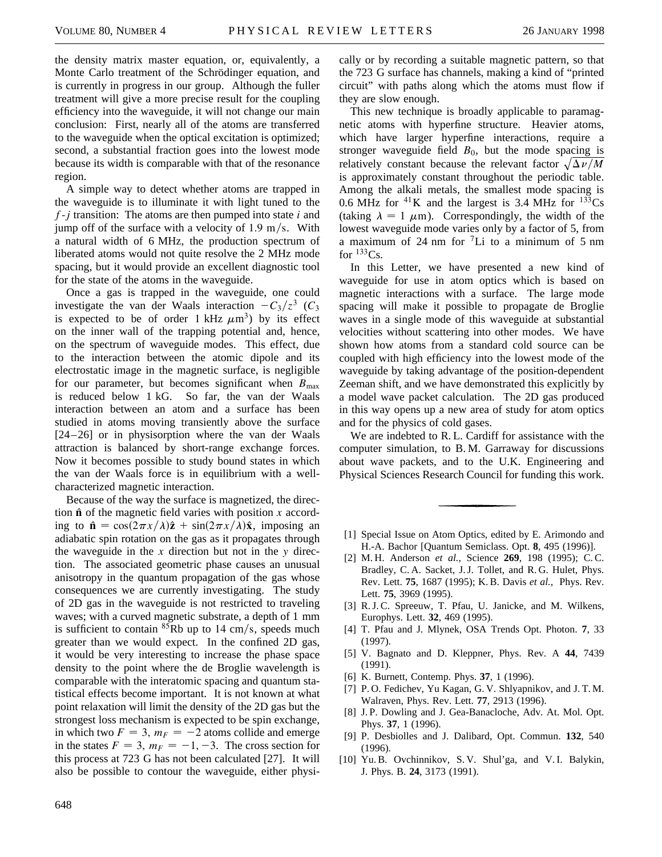the density matrix master equation, or, equivalently, a Monte Carlo treatment of the Schrödinger equation, and is currently in progress in our group. Although the fuller treatment will give a more precise result for the coupling efficiency into the waveguide, it will not change our main conclusion: First, nearly all of the atoms are transferred to the waveguide when the optical excitation is optimized; second, a substantial fraction goes into the lowest mode because its width is comparable with that of the resonance region.

A simple way to detect whether atoms are trapped in the waveguide is to illuminate it with light tuned to the *f*-*j* transition: The atoms are then pumped into state *i* and jump off of the surface with a velocity of 1.9 m/s. With a natural width of 6 MHz, the production spectrum of liberated atoms would not quite resolve the 2 MHz mode spacing, but it would provide an excellent diagnostic tool for the state of the atoms in the waveguide.

Once a gas is trapped in the waveguide, one could investigate the van der Waals interaction  $-C_3/z^3$  (*C*<sub>3</sub> is expected to be of order 1 kHz  $\mu$ m<sup>3</sup>) by its effect on the inner wall of the trapping potential and, hence, on the spectrum of waveguide modes. This effect, due to the interaction between the atomic dipole and its electrostatic image in the magnetic surface, is negligible for our parameter, but becomes significant when  $B_{\text{max}}$ is reduced below 1 kG. So far, the van der Waals interaction between an atom and a surface has been studied in atoms moving transiently above the surface  $[24 - 26]$  or in physisorption where the van der Waals attraction is balanced by short-range exchange forces. Now it becomes possible to study bound states in which the van der Waals force is in equilibrium with a wellcharacterized magnetic interaction.

Because of the way the surface is magnetized, the direction  $\hat{\bf{n}}$  of the magnetic field varies with position *x* according to  $\hat{\mathbf{n}} = \cos(2\pi x/\lambda)\hat{\mathbf{z}} + \sin(2\pi x/\lambda)\hat{\mathbf{x}}$ , imposing an adiabatic spin rotation on the gas as it propagates through the waveguide in the *x* direction but not in the *y* direction. The associated geometric phase causes an unusual anisotropy in the quantum propagation of the gas whose consequences we are currently investigating. The study of 2D gas in the waveguide is not restricted to traveling waves; with a curved magnetic substrate, a depth of 1 mm is sufficient to contain  ${}^{85}Rb$  up to 14 cm/s, speeds much greater than we would expect. In the confined 2D gas, it would be very interesting to increase the phase space density to the point where the de Broglie wavelength is comparable with the interatomic spacing and quantum statistical effects become important. It is not known at what point relaxation will limit the density of the 2D gas but the strongest loss mechanism is expected to be spin exchange, in which two  $F = 3$ ,  $m_F = -2$  atoms collide and emerge in the states  $F = 3$ ,  $m_F = -1, -3$ . The cross section for this process at 723 G has not been calculated [27]. It will also be possible to contour the waveguide, either physically or by recording a suitable magnetic pattern, so that the 723 G surface has channels, making a kind of "printed circuit" with paths along which the atoms must flow if they are slow enough.

This new technique is broadly applicable to paramagnetic atoms with hyperfine structure. Heavier atoms, which have larger hyperfine interactions, require a stronger waveguide field  $B_0$ , but the mode spacing is stroliger waveguide lied  $D_0$ , but the mode spacing is<br>relatively constant because the relevant factor  $\sqrt{\Delta \nu / M}$ is approximately constant throughout the periodic table. Among the alkali metals, the smallest mode spacing is 0.6 MHz for <sup>41</sup>K and the largest is 3.4 MHz for  $133Cs$ (taking  $\lambda = 1 \mu m$ ). Correspondingly, the width of the lowest waveguide mode varies only by a factor of 5, from a maximum of 24 nm for  ${}^{7}$ Li to a minimum of 5 nm for  $133Cs$ .

In this Letter, we have presented a new kind of waveguide for use in atom optics which is based on magnetic interactions with a surface. The large mode spacing will make it possible to propagate de Broglie waves in a single mode of this waveguide at substantial velocities without scattering into other modes. We have shown how atoms from a standard cold source can be coupled with high efficiency into the lowest mode of the waveguide by taking advantage of the position-dependent Zeeman shift, and we have demonstrated this explicitly by a model wave packet calculation. The 2D gas produced in this way opens up a new area of study for atom optics and for the physics of cold gases.

We are indebted to R. L. Cardiff for assistance with the computer simulation, to B. M. Garraway for discussions about wave packets, and to the U.K. Engineering and Physical Sciences Research Council for funding this work.

- [1] Special Issue on Atom Optics, edited by E. Arimondo and H.-A. Bachor [Quantum Semiclass. Opt. **8**, 495 (1996)].
- [2] M. H. Anderson *et al.,* Science **269**, 198 (1995); C. C. Bradley, C. A. Sacket, J. J. Tollet, and R. G. Hulet, Phys. Rev. Lett. **75**, 1687 (1995); K. B. Davis *et al.,* Phys. Rev. Lett. **75**, 3969 (1995).
- [3] R.J.C. Spreeuw, T. Pfau, U. Janicke, and M. Wilkens, Europhys. Lett. **32**, 469 (1995).
- [4] T. Pfau and J. Mlynek, OSA Trends Opt. Photon. **7**, 33 (1997).
- [5] V. Bagnato and D. Kleppner, Phys. Rev. A **44**, 7439 (1991).
- [6] K. Burnett, Contemp. Phys. **37**, 1 (1996).
- [7] P.O. Fedichev, Yu Kagan, G.V. Shlyapnikov, and J.T.M. Walraven, Phys. Rev. Lett. **77**, 2913 (1996).
- [8] J. P. Dowling and J. Gea-Banacloche, Adv. At. Mol. Opt. Phys. **37**, 1 (1996).
- [9] P. Desbiolles and J. Dalibard, Opt. Commun. **132**, 540 (1996).
- [10] Yu. B. Ovchinnikov, S. V. Shul'ga, and V. I. Balykin, J. Phys. B. **24**, 3173 (1991).